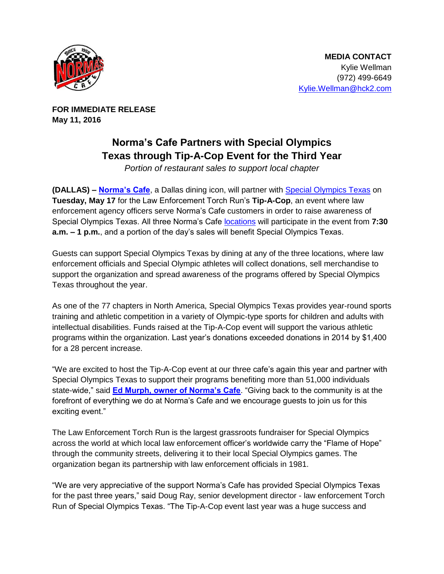

**FOR IMMEDIATE RELEASE May 11, 2016** 

## **Norma's Cafe Partners with Special Olympics Texas through Tip-A-Cop Event for the Third Year**

Portion of restaurant sales to support local chapter

**(DALLAS) – [Norma's Cafe](http://normascafe.com/)**, a Dallas dining icon, will partner with [Special Olympics Texas](http://www.specialolympicstexas.org/) on **Tuesday, May 17** for the Law Enforcement Torch Run's **Tip-A-Cop**, an event where law enforcement agency officers serve Norma's Cafe customers in order to raise awareness of Special Olympics Texas. All three Norma's Cafe [locations](http://normascafe.com/locations/) will participate in the event from **7:30 a.m. – 1 p.m.**, and a portion of the day's sales will benefit Special Olympics Texas.

Guests can support Special Olympics Texas by dining at any of the three locations, where law enforcement officials and Special Olympic athletes will collect donations, sell merchandise to support the organization and spread awareness of the programs offered by Special Olympics Texas throughout the year.

As one of the 77 chapters in North America, Special Olympics Texas provides year-round sports training and athletic competition in a variety of Olympic-type sports for children and adults with intellectual disabilities. Funds raised at the Tip-A-Cop event will support the various athletic programs within the organization. Last year's donations exceeded donations in 2014 by \$1,400 for a 28 percent increase.

"We are excited to host the Tip-A-Cop event at our three cafe's again this year and partner with Special Olympics Texas to support their programs benefiting more than 51,000 individuals state-wide," said **[Ed Murph, owner of Norma's Cafe](http://www.normascafe.com/about/)**. "Giving back to the community is at the forefront of everything we do at Norma's Cafe and we encourage guests to join us for this exciting event."

The Law Enforcement Torch Run is the largest grassroots fundraiser for Special Olympics across the world at which local law enforcement officer's worldwide carry the "Flame of Hope" through the community streets, delivering it to their local Special Olympics games. The organization began its partnership with law enforcement officials in 1981.

"We are very appreciative of the support Norma's Cafe has provided Special Olympics Texas for the past three years," said Doug Ray, senior development director - law enforcement Torch Run of Special Olympics Texas. "The Tip-A-Cop event last year was a huge success and